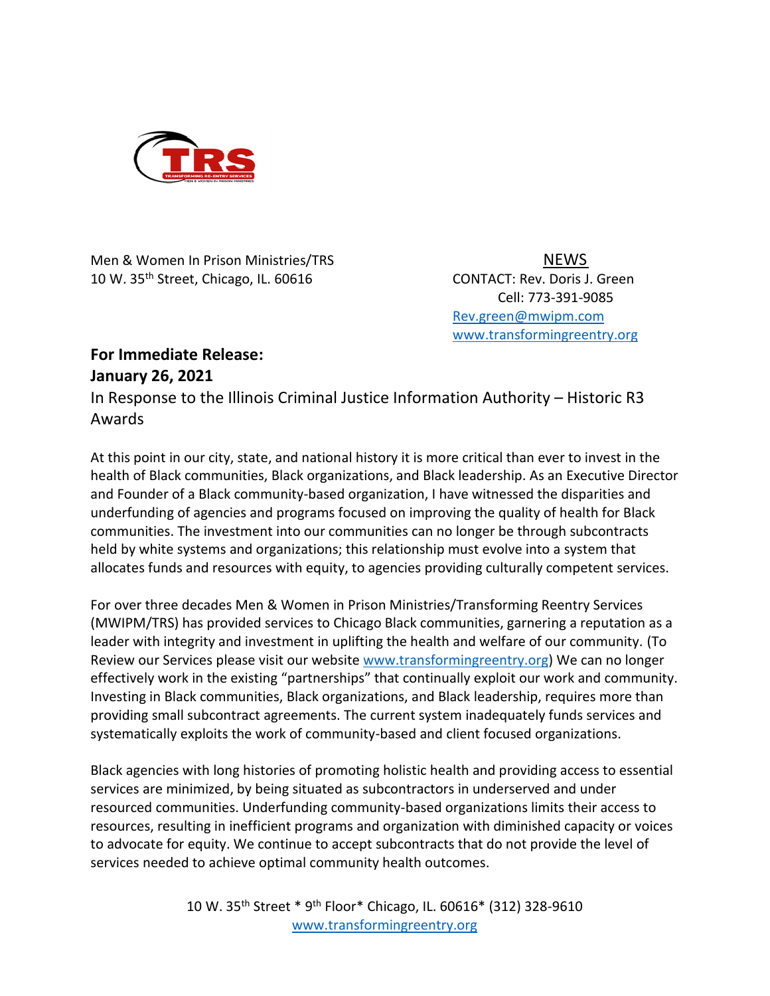

Men & Women In Prison Ministries/TRS NEWS 10 W. 35<sup>th</sup> Street, Chicago, IL. 60616 CONTACT: Rev. Doris J. Green

Cell: 773-391-9085 [Rev.green@mwipm.com](mailto:Rev.green@mwipm.com) [www.transformingreentry.org](http://www.transformingreentry.org/)

## **For Immediate Release: January 26, 2021**

In Response to the Illinois Criminal Justice Information Authority – Historic R3 Awards

At this point in our city, state, and national history it is more critical than ever to invest in the health of Black communities, Black organizations, and Black leadership. As an Executive Director and Founder of a Black community-based organization, I have witnessed the disparities and underfunding of agencies and programs focused on improving the quality of health for Black communities. The investment into our communities can no longer be through subcontracts held by white systems and organizations; this relationship must evolve into a system that allocates funds and resources with equity, to agencies providing culturally competent services.

For over three decades Men & Women in Prison Ministries/Transforming Reentry Services (MWIPM/TRS) has provided services to Chicago Black communities, garnering a reputation as a leader with integrity and investment in uplifting the health and welfare of our community. (To Review our Services please visit our website [www.transformingreentry.org\)](http://www.transformingreentry.org/) We can no longer effectively work in the existing "partnerships" that continually exploit our work and community. Investing in Black communities, Black organizations, and Black leadership, requires more than providing small subcontract agreements. The current system inadequately funds services and systematically exploits the work of community-based and client focused organizations.

Black agencies with long histories of promoting holistic health and providing access to essential services are minimized, by being situated as subcontractors in underserved and under resourced communities. Underfunding community-based organizations limits their access to resources, resulting in inefficient programs and organization with diminished capacity or voices to advocate for equity. We continue to accept subcontracts that do not provide the level of services needed to achieve optimal community health outcomes.